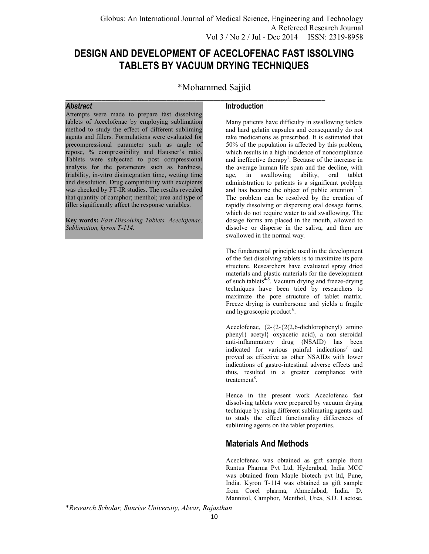# **DESIGN AND DEVELOPMENT OF ACECLOFENAC FAST ISSOLVING TABLETS BY VACUUM DRYING TECHNIQUES**

\*Mohammed Sajjid

**\_\_\_\_\_\_\_\_\_\_\_\_\_\_\_\_\_\_\_\_\_\_\_\_\_\_\_\_\_\_\_\_\_\_\_\_\_\_\_\_\_\_\_\_\_\_\_\_\_\_\_\_\_\_\_\_\_\_\_\_\_\_\_\_\_\_\_\_\_\_\_\_** 

### *Abstract*

Attempts were made to prepare fast dissolving tablets of Aceclofenac by employing sublimation method to study the effect of different subliming agents and fillers. Formulations were evaluated for precompressional parameter such as angle of repose, % compressibility and Hausner's ratio. Tablets were subjected to post compressional analysis for the parameters such as hardness, friability, in-vitro disintegration time, wetting time and dissolution. Drug compatibility with excipients was checked by FT-IR studies. The results revealed that quantity of camphor; menthol; urea and type of filler significantly affect the response variables.

**Key words:** *Fast Dissolving Tablets, Aceclofenac, Sublimation, kyron T-114.*

### **Introduction**

Many patients have difficulty in swallowing tablets and hard gelatin capsules and consequently do not take medications as prescribed. It is estimated that 50% of the population is affected by this problem, which results in a high incidence of noncompliance and ineffective therapy<sup>1</sup>. Because of the increase in the average human life span and the decline, with age, in swallowing ability, oral tablet administration to patients is a significant problem and has become the object of public attention<sup>2, 3</sup>. The problem can be resolved by the creation of rapidly dissolving or dispersing oral dosage forms, which do not require water to aid swallowing. The dosage forms are placed in the mouth, allowed to dissolve or disperse in the saliva, and then are swallowed in the normal way.

The fundamental principle used in the development of the fast dissolving tablets is to maximize its pore structure. Researchers have evaluated spray dried materials and plastic materials for the development of such tablets<sup>4-5</sup>. Vacuum drying and freeze-drying techniques have been tried by researchers to maximize the pore structure of tablet matrix. Freeze drying is cumbersome and yields a fragile and hygroscopic product<sup>6</sup>.

Aceclofenac,  $(2-\{2\}-\{2(2,6-\text{dichlorophenyl})\})$  amino phenyl} acetyl} oxyacetic acid), a non steroidal anti-inflammatory drug (NSAID) has been indicated for various painful indications<sup>7</sup> and proved as effective as other NSAIDs with lower indications of gastro-intestinal adverse effects and thus, resulted in a greater compliance with treatement<sup>8</sup>.

Hence in the present work Aceclofenac fast dissolving tablets were prepared by vacuum drying technique by using different sublimating agents and to study the effect functionality differences of subliming agents on the tablet properties.

## **Materials And Methods**

Aceclofenac was obtained as gift sample from Rantus Pharma Pvt Ltd, Hyderabad, India MCC was obtained from Maple biotech pvt ltd, Pune, India. Kyron T-114 was obtained as gift sample from Corel pharma, Ahmedabad, India. D. Mannitol, Camphor, Menthol, Urea, S.D. Lactose,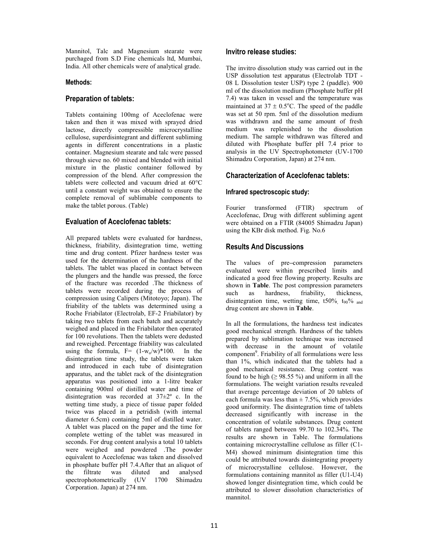Mannitol, Talc and Magnesium stearate were purchaged from S.D Fine chemicals ltd, Mumbai, India. All other chemicals were of analytical grade.

#### **Methods:**

### **Preparation of tablets:**

Tablets containing 100mg of Aceclofenac were taken and then it was mixed with sprayed dried lactose, directly compressible microcrystalline cellulose, superdisintegrant and different subliming agents in different concentrations in a plastic container. Magnesium stearate and talc were passed through sieve no. 60 mixed and blended with initial mixture in the plastic container followed by compression of the blend. After compression the tablets were collected and vacuum dried at 60°C until a constant weight was obtained to ensure the complete removal of sublimable components to make the tablet porous. (Table)

### **Evaluation of Aceclofenac tablets:**

All prepared tablets were evaluated for hardness, thickness, friability, disintegration time, wetting time and drug content. Pfizer hardness tester was used for the determination of the hardness of the tablets. The tablet was placed in contact between the plungers and the handle was pressed, the force of the fracture was recorded .The thickness of tablets were recorded during the process of compression using Calipers (Mitotoyo; Japan). The friability of the tablets was determined using a Roche Friabilator (Electrolab, EF-2 Friabilator) by taking two tablets from each batch and accurately weighed and placed in the Friabilator then operated for 100 revolutions. Then the tablets were dedusted and reweighed. Percentage friability was calculated using the formula,  $F = (1-w_0/w)^*100$ . In the disintegration time study, the tablets were taken and introduced in each tube of disintegration apparatus, and the tablet rack of the disintegration apparatus was positioned into a 1-litre beaker containing 900ml of distilled water and time of disintegration was recorded at 37±2º c. In the wetting time study, a piece of tissue paper folded twice was placed in a petridish (with internal diameter 6.5cm) containing 5ml of distilled water. A tablet was placed on the paper and the time for complete wetting of the tablet was measured in seconds. For drug content analysis a total 10 tablets were weighed and powdered .The powder equivalent to Aceclofenac was taken and dissolved in phosphate buffer pH 7.4.After that an aliquot of the filtrate was diluted and analysed spectrophotometrically (UV 1700 Shimadzu Corporation. Japan) at 274 nm.

### **Invitro release studies:**

The invitro dissolution study was carried out in the USP dissolution test apparatus (Electrolab TDT - 08 L Dissolution tester USP) type 2 (paddle). 900 ml of the dissolution medium (Phosphate buffer pH 7.4) was taken in vessel and the temperature was maintained at  $37 \pm 0.5^{\circ}$ C. The speed of the paddle was set at 50 rpm. 5ml of the dissolution medium was withdrawn and the same amount of fresh medium was replenished to the dissolution medium. The sample withdrawn was filtered and diluted with Phosphate buffer pH 7.4 prior to analysis in the UV Spectrophotometer (UV-1700 Shimadzu Corporation, Japan) at 274 nm.

### **Characterization of Aceclofenac tablets:**

### **Infrared spectroscopic study:**

Fourier transformed (FTIR) spectrum of Aceclofenac, Drug with different subliming agent were obtained on a FTIR (84005 Shimadzu Japan) using the KBr disk method. Fig. No.6

### **Results And Discussions**

The values of pre**–**compression parameters evaluated were within prescribed limits and indicated a good free flowing property. Results are shown in **Table**. The post compression parameters such as hardness, friability, thickness, as hardness, friability, thickness, disintegration time, wetting time,  $t50\%$ ,  $t_{90}\%$  and drug content are shown in **Table**.

In all the formulations, the hardness test indicates good mechanical strength. Hardness of the tablets prepared by sublimation technique was increased with decrease in the amount of volatile component<sup>9</sup>. Friability of all formulations were less than 1%, which indicated that the tablets had a good mechanical resistance. Drug content was found to be high ( $\geq$  98.55 %) and uniform in all the formulations. The weight variation results revealed that average percentage deviation of 20 tablets of each formula was less than  $\pm$  7.5%, which provides good uniformity. The disintegration time of tablets decreased significantly with increase in the concentration of volatile substances. Drug content of tablets ranged between 99.70 to 102.34%. The results are shown in Table. The formulations containing microcrystalline cellulose as filler (C1- M4) showed minimum disintegration time this could be attributed towards disintegrating property of microcrystalline cellulose. However, the formulations containing mannitol as filler (U1-U4) showed longer disintegration time, which could be attributed to slower dissolution characteristics of mannitol.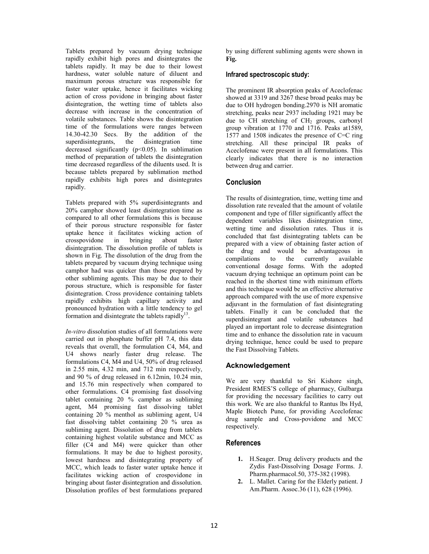Tablets prepared by vacuum drying technique rapidly exhibit high pores and disintegrates the tablets rapidly. It may be due to their lowest hardness, water soluble nature of diluent and maximum porous structure was responsible for faster water uptake, hence it facilitates wicking action of cross povidone in bringing about faster disintegration, the wetting time of tablets also decrease with increase in the concentration of volatile substances. Table shows the disintegration time of the formulations were ranges between 14.30-42.30 Secs. By the addition of the superdisintegrants, the disintegration time decreased significantly  $(p<0.05)$ . In sublimation method of preparation of tablets the disintegration time decreased regardless of the diluents used. It is because tablets prepared by sublimation method rapidly exhibits high pores and disintegrates rapidly.

Tablets prepared with 5% superdisintegrants and 20% camphor showed least disintegration time as compared to all other formulations this is because of their porous structure responsible for faster uptake hence it facilitates wicking action of crosspovidone in bringing about faster disintegration. The dissolution profile of tablets is shown in Fig. The dissolution of the drug from the tablets prepared by vacuum drying technique using camphor had was quicker than those prepared by other subliming agents. This may be due to their porous structure, which is responsible for faster disintegration. Cross providence containing tablets rapidly exhibits high capillary activity and pronounced hydration with a little tendency to gel formation and disintegrate the tablets rapidly $13$ .

*In-vitro* dissolution studies of all formulations were carried out in phosphate buffer pH 7.4, this data reveals that overall, the formulation C4, M4, and U4 shows nearly faster drug release. The formulations C4, M4 and U4, 50% of drug released in 2.55 min, 4.32 min, and 712 min respectively, and 90 % of drug released in 6.12min, 10.24 min, and 15.76 min respectively when compared to other formulations. C4 promising fast dissolving tablet containing 20 % camphor as subliming agent, M4 promising fast dissolving tablet containing 20 % menthol as subliming agent, U4 fast dissolving tablet containing 20 % urea as subliming agent. Dissolution of drug from tablets containing highest volatile substance and MCC as filler (C4 and M4) were quicker than other formulations. It may be due to highest porosity, lowest hardness and disintegrating property of MCC, which leads to faster water uptake hence it facilitates wicking action of crospovidone in bringing about faster disintegration and dissolution. Dissolution profiles of best formulations prepared by using different subliming agents were shown in **Fig.** 

#### **Infrared spectroscopic study:**

The prominent IR absorption peaks of Aceclofenac showed at 3319 and 3267 these broad peaks may be due to OH hydrogen bonding.2970 is NH aromatic stretching, peaks near 2937 including 1921 may be due to  $CH$  stretching of  $CH<sub>2</sub>$  groups, carbonyl group vibration at 1770 and 1716. Peaks at1589, 1577 and 1508 indicates the presence of C=C ring stretching. All these principal IR peaks of Aceclofenac were present in all formulations. This clearly indicates that there is no interaction between drug and carrier.

### **Conclusion**

The results of disintegration, time, wetting time and dissolution rate revealed that the amount of volatile component and type of filler significantly affect the dependent variables likes disintegration time, wetting time and dissolution rates. Thus it is concluded that fast disintegrating tablets can be prepared with a view of obtaining faster action of the drug and would be advantageous in compilations to the currently available conventional dosage forms. With the adopted vacuum drying technique an optimum point can be reached in the shortest time with minimum efforts and this technique would be an effective alternative approach compared with the use of more expensive adjuvant in the formulation of fast disintegrating tablets. Finally it can be concluded that the superdisintegrant and volatile substances had played an important role to decrease disintegration time and to enhance the dissolution rate in vacuum drying technique, hence could be used to prepare the Fast Dissolving Tablets.

### **Acknowledgement**

We are very thankful to Sri Kishore singh, President RMES'S college of pharmacy, Gulbarga for providing the necessary facilities to carry out this work. We are also thankful to Rantus lbs Hyd, Maple Biotech Pune, for providing Aceclofenac drug sample and Cross-povidone and MCC respectively.

#### **References**

- **1.** H.Seager. Drug delivery products and the Zydis Fast-Dissolving Dosage Forms. J. Pharm.pharmacol.50, 375-382 (1998).
- **2.** L. Mallet. Caring for the Elderly patient. J Am.Pharm. Assoc.36 (11), 628 (1996).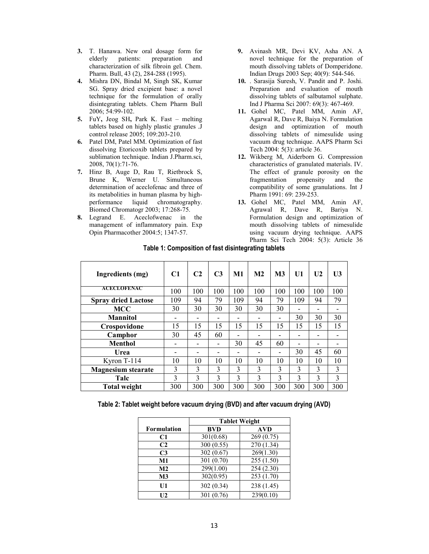- **3.** T. Hanawa. New oral dosage form for elderly patients: preparation and characterization of silk fibroin gel. Chem. Pharm. Bull, 43 (2), 284-288 (1995).
- **4.** Mishra DN, Bindal M, Singh SK, Kumar SG. Spray dried excipient base: a novel technique for the formulation of orally disintegrating tablets. Chem Pharm Bull 2006; 54:99-102.
- **5.** FuY**,** Jeog SH**,** Park K. Fast melting tablets based on highly plastic granules .J control release 2005; 109:203-210.
- **6.** Patel DM, Patel MM. Optimization of fast dissolving Etoricoxib tablets prepared by sublimation technique. Indian J.Pharm.sci, 2008, 70(1):71-76.
- **7.** Hinz B, Auge D, Rau T, Rietbrock S, Brune K, Werner U. Simultaneous determination of aceclofenac and three of its metabolities in human plasma by highperformance liquid chromatography. Biomed Chromatogr 2003; 17:268-75.
- **8.** Legrand E. Aceclofwenac in the management of inflammatory pain. Exp Opin Pharmacother 2004:5; 1347-57.
- **9.** Avinash MR, Devi KV, Asha AN. A novel technique for the preparation of mouth dissolving tablets of Domperidone. Indian Drugs 2003 Sep; 40(9): 544-546.
- **10.** . Sarasija Suresh, V. Pandit and P. Joshi. Preparation and evaluation of mouth dissolving tablets of salbutamol sulphate. Ind J Pharma Sci 2007: 69(3): 467-469.
- **11.** Gohel MC, Patel MM, Amin AF, Agarwal R, Dave R, Baiya N. Formulation design and optimization of mouth dissolving tablets of nimesulide using vacuum drug technique. AAPS Pharm Sci Tech 2004: 5(3): article 36.
- **12.** Wikberg M, Aiderborn G. Compression characteristics of granulated materials. IV. The effect of granule porosity on the fragmentation propensity and the compatibility of some granulations. Int J Pharm 1991: 69: 239-253.
- **13.** Gohel MC, Patel MM, Amin AF, Agrawal R, Dave R, Bariya N. Formulation design and optimization of mouth dissolving tablets of nimesulide using vacuum drying technique. AAPS Pharm Sci Tech 2004: 5(3): Article 36

| Ingredients (mg)           | C1            | C <sub>2</sub> | C <sub>3</sub> | M1  | M <sub>2</sub> | M <sub>3</sub> | U1  | U <sub>2</sub> | U <sub>3</sub> |
|----------------------------|---------------|----------------|----------------|-----|----------------|----------------|-----|----------------|----------------|
| <b>ACECLOFENAC</b>         | 100           | 100            | 100            | 100 | 100            | 100            | 100 | 100            | 100            |
| <b>Spray dried Lactose</b> | 109           | 94             | 79             | 109 | 94             | 79             | 109 | 94             | 79             |
| <b>MCC</b>                 | 30            | 30             | 30             | 30  | 30             | 30             |     |                |                |
| <b>Mannitol</b>            | -             |                |                |     |                | $\blacksquare$ | 30  | 30             | 30             |
| Crospovidone               | 15            | 15             | 15             | 15  | 15             | 15             | 15  | 15             | 15             |
| Camphor                    | 30            | 45             | 60             |     |                |                |     |                |                |
| <b>Menthol</b>             |               |                |                | 30  | 45             | 60             |     |                |                |
| Urea                       |               |                |                |     |                | $\blacksquare$ | 30  | 45             | 60             |
| Kyron T-114                | 10            | 10             | 10             | 10  | 10             | 10             | 10  | 10             | 10             |
| <b>Magnesium stearate</b>  | 3             | 3              | $\mathcal{E}$  | 3   | 3              | 3              | 3   | 3              | 3              |
| Talc                       | $\mathcal{F}$ | 3              | 3              | 3   | 3              | 3              | 3   | 3              | 3              |
| <b>Total weight</b>        | 300           | 300            | 300            | 300 | 300            | 300            | 300 | 300            | 300            |

### **Table 1: Composition of fast disintegrating tablets**

#### **Table 2: Tablet weight before vacuum drying (BVD) and after vacuum drying (AVD)**

|                | <b>Tablet Weight</b> |            |  |  |  |
|----------------|----------------------|------------|--|--|--|
| Formulation    | BVD                  | <b>AVD</b> |  |  |  |
| C1             | 301(0.68)            | 269(0.75)  |  |  |  |
| C <sub>2</sub> | 300 (0.55)           | 270 (1.34) |  |  |  |
| C <sub>3</sub> | 302 (0.67)           | 269(1.30)  |  |  |  |
| M1             | 301 (0.70)           | 255(1.50)  |  |  |  |
| M2             | 299(1.00)            | 254 (2.30) |  |  |  |
| M <sub>3</sub> | 302(0.95)            | 253 (1.70) |  |  |  |
| U1             | 302 (0.34)           | 238 (1.45) |  |  |  |
| U2             | 301 (0.76)           | 239(0.10)  |  |  |  |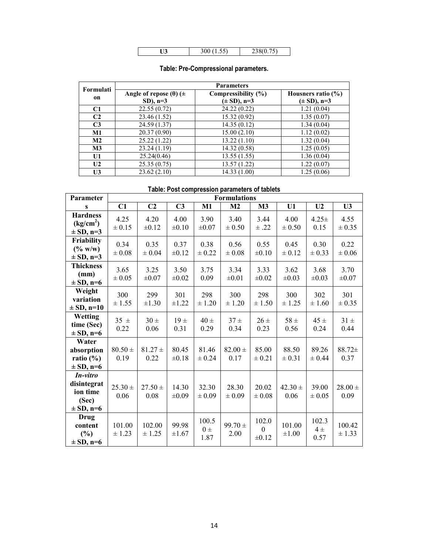| $-$ |  |  |
|-----|--|--|
|     |  |  |

| Formulati      | <b>Parameters</b>                    |                     |                        |  |  |  |  |  |
|----------------|--------------------------------------|---------------------|------------------------|--|--|--|--|--|
| on             | Angle of repose ( $\theta$ ) ( $\pm$ | Compressibility (%) | Housners ratio $(\% )$ |  |  |  |  |  |
|                | $SD$ ), $n=3$                        | $(\pm SD)$ , n=3    | $(\pm SD)$ , n=3       |  |  |  |  |  |
| C1             | 22.55(0.72)                          | 24.22(0.22)         | 1.21(0.04)             |  |  |  |  |  |
| C <sub>2</sub> | 23.46 (1.52)                         | 15.32(0.92)         | 1.35(0.07)             |  |  |  |  |  |
| C <sub>3</sub> | 24.59 (1.37)                         | 14.35(0.12)         | 1.34(0.04)             |  |  |  |  |  |
| M1             | 20.37 (0.90)                         | 15.00(2.10)         | 1.12(0.02)             |  |  |  |  |  |
| M2             | 25.22(1.22)                          | 13.22(1.10)         | 1.32(0.04)             |  |  |  |  |  |
| $\mathbf{M}3$  | 23.24(1.19)                          | 14.32(0.58)         | 1.25(0.05)             |  |  |  |  |  |
| U1             | 25.24(0.46)                          | 13.55(1.55)         | 1.36(0.04)             |  |  |  |  |  |
| U2             | 25.35(0.75)                          | 13.57(1.22)         | 1.22(0.07)             |  |  |  |  |  |
| U3             | 23.62(2.10)                          | 14.33(1.00)         | 1.25(0.06)             |  |  |  |  |  |

## **Table: Pre-Compressional parameters.**

## **Table: Post compression parameters of tablets**

| Parameter                                                     | <b>Formulations</b> |                     |                     |                          |                     |                                         |                      |                         |                     |
|---------------------------------------------------------------|---------------------|---------------------|---------------------|--------------------------|---------------------|-----------------------------------------|----------------------|-------------------------|---------------------|
| S                                                             | C1                  | C <sub>2</sub>      | C <sub>3</sub>      | M1                       | M2                  | M3                                      | U1                   | U <sub>2</sub>          | U <sub>3</sub>      |
| <b>Hardness</b><br>(kg/cm <sup>2</sup> )<br>$\pm$ SD, n=3     | 4.25<br>$\pm 0.15$  | 4.20<br>$\pm 0.12$  | 4.00<br>$\pm 0.10$  | 3.90<br>$\pm 0.07$       | 3.40<br>$\pm 0.50$  | 3.44<br>$\pm .22$                       | 4.00<br>$\pm 0.50$   | $4.25+$<br>0.15         | 4.55<br>± 0.35      |
| Friability<br>$(\% w/w)$<br>$\pm$ SD, n=3                     | 0.34<br>$\pm 0.08$  | 0.35<br>$\pm 0.04$  | 0.37<br>$\pm 0.12$  | 0.38<br>$\pm 0.22$       | 0.56<br>$\pm 0.08$  | 0.55<br>$\pm 0.10$                      | 0.45<br>$\pm 0.12$   | 0.30<br>$\pm 0.33$      | 0.22<br>$\pm 0.06$  |
| <b>Thickness</b><br>(mm)<br>$\pm$ SD, n=6                     | 3.65<br>$\pm 0.05$  | 3.25<br>$\pm 0.07$  | 3.50<br>$\pm 0.02$  | 3.75<br>0.09             | 3.34<br>$\pm 0.01$  | 3.33<br>$\pm 0.02$                      | 3.62<br>$\pm 0.03$   | 3.68<br>$\pm 0.03$      | 3.70<br>$\pm 0.07$  |
| Weight<br>variation<br>$\pm$ SD, n=10                         | 300<br>± 1.55       | 299<br>$\pm 1.30$   | 301<br>$\pm 1.22$   | 298<br>± 1.20            | 300<br>± 1.20       | 298<br>± 1.50                           | 300<br>± 1.25        | 302<br>± 1.60           | 301<br>± 0.35       |
| Wetting<br>time (Sec)<br>$\pm$ SD, n=6                        | $35 \pm$<br>0.22    | $30 \pm$<br>0.06    | 19±<br>0.31         | $40 \pm$<br>0.29         | $37 \pm$<br>0.34    | $26 \pm$<br>0.23                        | $58 \pm$<br>0.56     | 45±<br>0.24             | $31 \pm$<br>0.44    |
| Water<br>absorption<br>ratio $(\% )$<br>$\pm$ SD, n=6         | $80.50 \pm$<br>0.19 | $81.27 +$<br>0.22   | 80.45<br>$\pm 0.18$ | 81.46<br>$\pm 0.24$      | $82.00 \pm$<br>0.17 | 85.00<br>$\pm 0.21$                     | 88.50<br>$\pm 0.31$  | 89.26<br>± 0.44         | 88.72±<br>0.37      |
| In-vitro<br>disintegrat<br>ion time<br>(Sec)<br>$\pm$ SD, n=6 | $25.30 \pm$<br>0.06 | $27.50 \pm$<br>0.08 | 14.30<br>$\pm 0.09$ | 32.30<br>$\pm 0.09$      | 28.30<br>$\pm 0.09$ | 20.02<br>$\pm 0.08$                     | $42.30 \pm$<br>0.06  | 39.00<br>$\pm 0.05$     | $28.00 \pm$<br>0.09 |
| <b>Drug</b><br>content<br>(%)<br>$\pm$ SD, n=6                | 101.00<br>± 1.23    | 102.00<br>± 1.25    | 99.98<br>$\pm 1.67$ | 100.5<br>$0 \pm$<br>1.87 | $99.70 \pm$<br>2.00 | 102.0<br>$\boldsymbol{0}$<br>$\pm 0.12$ | 101.00<br>$\pm 1.00$ | 102.3<br>$4\pm$<br>0.57 | 100.42<br>± 1.33    |